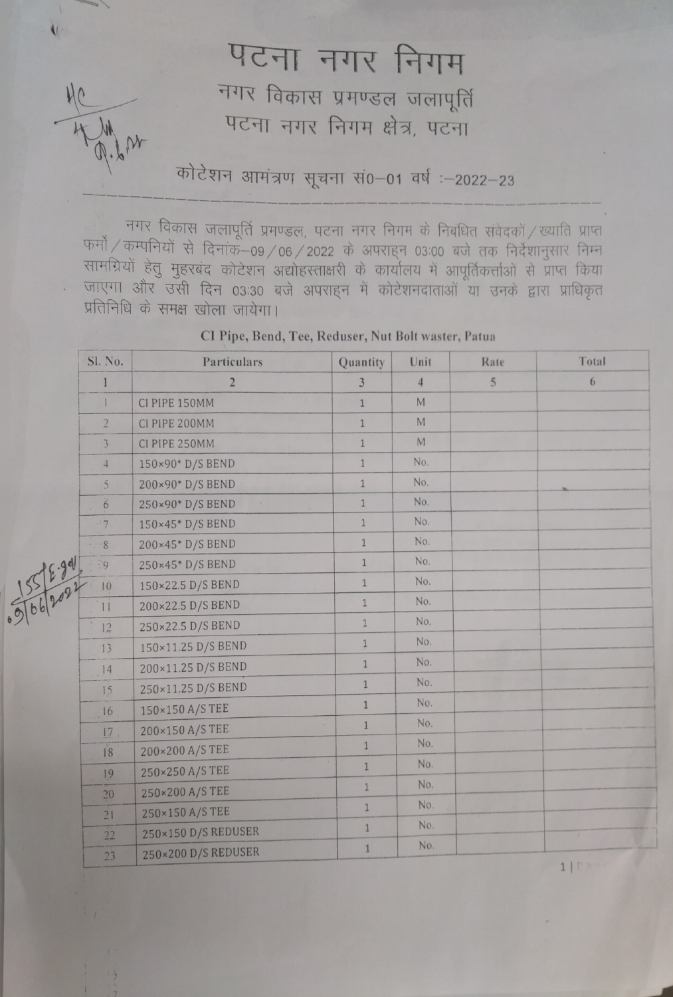## पटना नगर निगम

 $\overline{\mathbf{U}}$ 

नगर विकास प्रमण्डल जलापूर्ति पटना नगर निगम क्षेत्र, पटना

कोटेशन आमंत्रण सूचना सं0-01 वर्ष :-2022-23

नगर विकास जलापूर्ति प्रमण्डल, पटना नगर निगम के निबंधित संवेदकों / ख्याति प्राप्त<br>फर्मो / कम्पनियों से दिनांक—09 / 06 / 2022 के अपराहन 03:00 बजे तक निर्देशानुसार निम्न<br>सामग्रियों हेतु मुहरबंद कोटेशन अद्योहस्ताक्षरी के कार जाएगा और उसी दिन 03:30 बजे अपराहन में कोटेशनदाताओं या उनके द्वारा प्राधिकृत<br>प्रतिनिधि के समक्ष खोला जायेगा।

|            | Sl. No.         | Particulars                         | Quantity       | Unit           | Rate           | Total |
|------------|-----------------|-------------------------------------|----------------|----------------|----------------|-------|
| 5 5 6 2021 |                 | $\overline{2}$                      | 3              | $\overline{4}$ | $\overline{5}$ | 6     |
|            | $\mathbf{I}$    | CI PIPE 150MM                       | $\mathbf{1}$   | M              |                |       |
|            | $\overline{2}$  | CI PIPE 200MM                       | $\overline{1}$ | $\mathbb M$    |                |       |
|            | $\overline{3}$  | CI PIPE 250MM                       | $1\,$          | M              |                |       |
|            | $\overline{4}$  | 150×90* D/S BEND                    | $\mathbf{1}$   | No.            |                |       |
|            | $\overline{5}$  | 200×90* D/S BEND                    | $\mathbf{1}$   | No.            |                |       |
|            | $6\overline{6}$ | 250×90* D/S BEND<br>$\mathcal{A}$ . | $\mathbf{1}$   | No.            |                |       |
|            | 7               | 150×45* D/S BEND                    | $\mathbf{1}$   | No.            |                |       |
|            | 8               | 200×45* D/S BEND                    | $\mathbf{1}$   | No.            |                |       |
|            | $\mathcal{G}$   | 250×45* D/S BEND                    | $\mathbf{1}$   | No.            |                |       |
|            | 10              | 150×22.5 D/S BEND                   | $\overline{1}$ | No.            |                |       |
|            | 11              | 200×22.5 D/S BEND                   | $\mathbf{1}$   | No.            |                |       |
|            | 12              | 250×22.5 D/S BEND                   | $\overline{1}$ | No.            |                |       |
|            | 13              | 150×11.25 D/S BEND                  | $\mathbf{1}$   | No.            |                |       |
|            | 14              | 200×11.25 D/S BEND                  | $\overline{1}$ | No.            |                |       |
|            | 15              | 250×11.25 D/S BEND                  | $\mathbf{1}$   | No.            |                |       |
|            | 16              | 150×150 A/S TEE                     | $1\,$          | No.            |                |       |
|            | 17              | 200×150 A/S TEE                     | $\overline{1}$ | No.            |                |       |
|            | 18              | 200×200 A/S TEE                     | $\overline{1}$ | No.            |                |       |
|            | 19              | 250×250 A/S TEE                     | $\mathbf{1}$   | No.            |                |       |
|            | 20              | 250×200 A/S TEE                     | $1\,$          | No.            |                |       |
|            | 21              | 250×150 A/S TEE                     | $\mathbf{1}$   | No.            |                |       |
|            | 22              | 250×150 D/S REDUSER                 | $\mathbf 1$    | No.            |                | a.    |
|            | 23              | 250×200 D/S REDUSER                 | $1\,$          | No.            |                |       |

CI Pipe, Bend, Tee, Reduser, Nut Bolt waster, Patua

1| | |